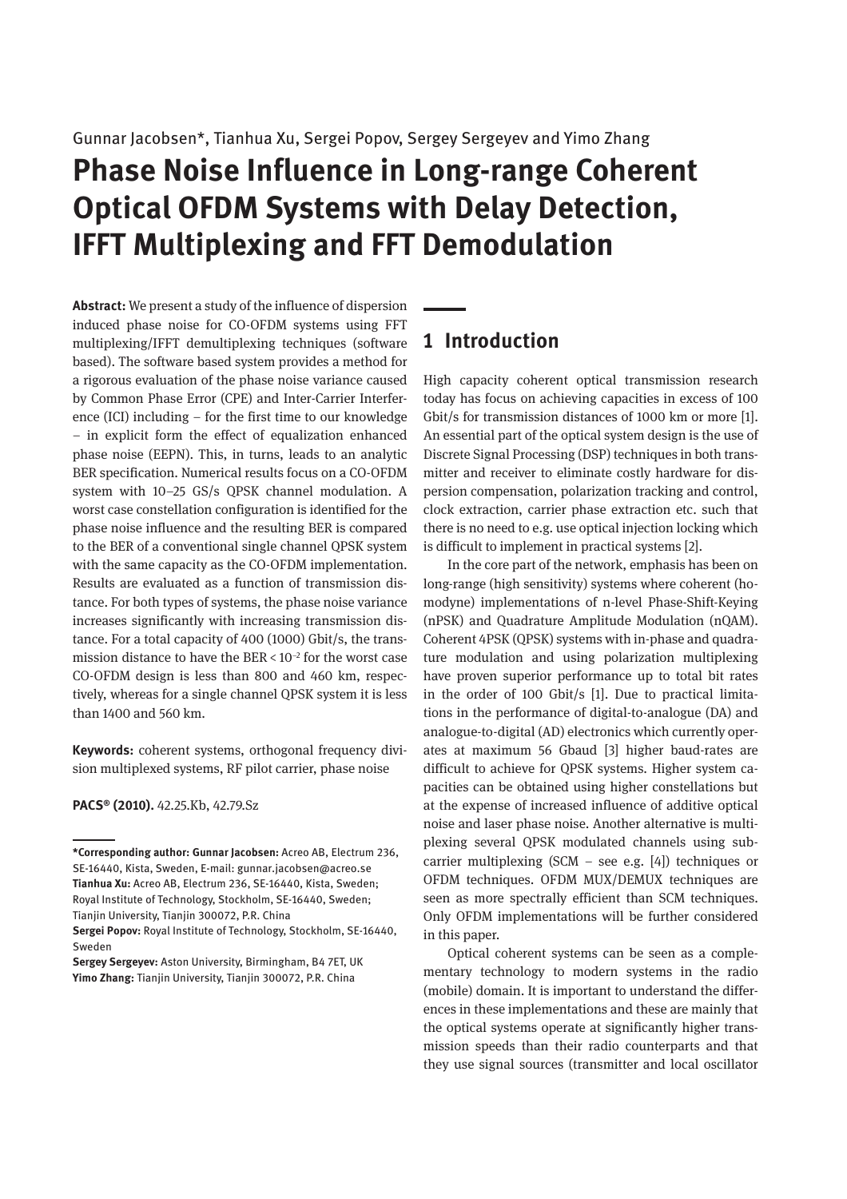# **Phase Noise Influence in Long-range Coherent Optical OFDM Systems with Delay Detection, IFFT Multiplexing and FFT Demodulation**

**Abstract:** We present a study of the influence of dispersion induced phase noise for CO-OFDM systems using FFT multiplexing/IFFT demultiplexing techniques (software based). The software based system provides a method for a rigorous evaluation of the phase noise variance caused by Common Phase Error (CPE) and Inter-Carrier Interference (ICI) including – for the first time to our knowledge – in explicit form the effect of equalization enhanced phase noise (EEPN). This, in turns, leads to an analytic BER specification. Numerical results focus on a CO-OFDM system with 10–25 GS/s QPSK channel modulation. A worst case constellation configuration is identified for the phase noise influence and the resulting BER is compared to the BER of a conventional single channel QPSK system with the same capacity as the CO-OFDM implementation. Results are evaluated as a function of transmission distance. For both types of systems, the phase noise variance increases significantly with increasing transmission distance. For a total capacity of 400 (1000) Gbit/s, the transmission distance to have the BER < 10−2 for the worst case CO-OFDM design is less than 800 and 460 km, respectively, whereas for a single channel QPSK system it is less than 1400 and 560 km.

**Keywords:** coherent systems, orthogonal frequency division multiplexed systems, RF pilot carrier, phase noise

**PACS® (2010).** 42.25.Kb, 42.79.Sz

# **1 Introduction**

High capacity coherent optical transmission research today has focus on achieving capacities in excess of 100 Gbit/s for transmission distances of 1000 km or more [1]. An essential part of the optical system design is the use of Discrete Signal Processing (DSP) techniques in both transmitter and receiver to eliminate costly hardware for dispersion compensation, polarization tracking and control, clock extraction, carrier phase extraction etc. such that there is no need to e.g. use optical injection locking which is difficult to implement in practical systems [2].

In the core part of the network, emphasis has been on long-range (high sensitivity) systems where coherent (homodyne) implementations of n-level Phase-Shift-Keying (nPSK) and Quadrature Amplitude Modulation (nQAM). Coherent 4PSK (QPSK) systems with in-phase and quadrature modulation and using polarization multiplexing have proven superior performance up to total bit rates in the order of 100 Gbit/s [1]. Due to practical limitations in the performance of digital-to-analogue (DA) and analogue-to-digital (AD) electronics which currently operates at maximum 56 Gbaud [3] higher baud-rates are difficult to achieve for QPSK systems. Higher system capacities can be obtained using higher constellations but at the expense of increased influence of additive optical noise and laser phase noise. Another alternative is multiplexing several QPSK modulated channels using subcarrier multiplexing (SCM – see e.g. [4]) techniques or OFDM techniques. OFDM MUX/DEMUX techniques are seen as more spectrally efficient than SCM techniques. Only OFDM implementations will be further considered in this paper.

Optical coherent systems can be seen as a complementary technology to modern systems in the radio (mobile) domain. It is important to understand the differences in these implementations and these are mainly that the optical systems operate at significantly higher transmission speeds than their radio counterparts and that they use signal sources (transmitter and local oscillator

**<sup>\*</sup>Corresponding author: Gunnar Jacobsen:** Acreo AB, Electrum 236, SE-16440, Kista, Sweden, E-mail: gunnar.jacobsen@acreo.se **Tianhua Xu:** Acreo AB, Electrum 236, SE-16440, Kista, Sweden; Royal Institute of Technology, Stockholm, SE-16440, Sweden; Tianjin University, Tianjin 300072, P.R. China

**Sergei Popov:** Royal Institute of Technology, Stockholm, SE-16440, Sweden

**Sergey Sergeyev:** Aston University, Birmingham, B4 7ET, UK **Yimo Zhang:** Tianjin University, Tianjin 300072, P.R. China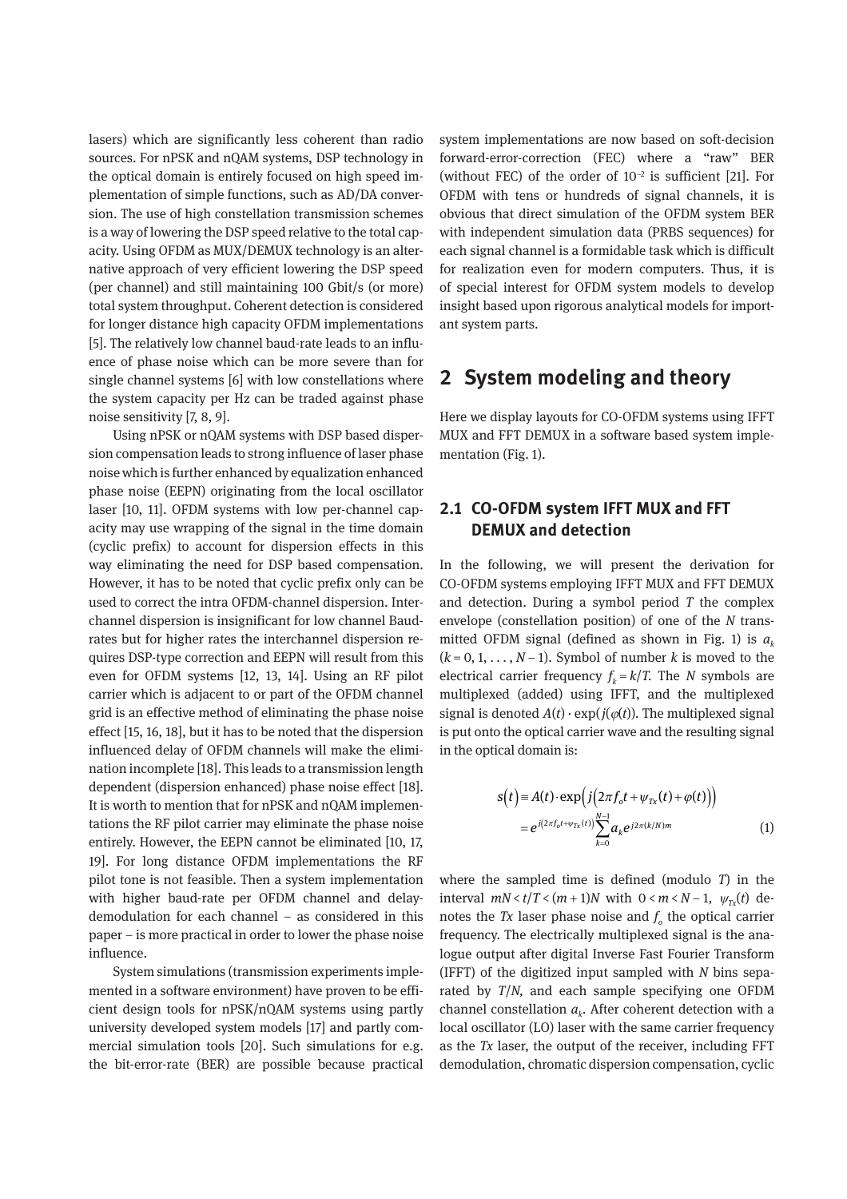lasers) which are significantly less coherent than radio sources. For nPSK and nQAM systems, DSP technology in the optical domain is entirely focused on high speed implementation of simple functions, such as AD/DA conversion. The use of high constellation transmission schemes is a way of lowering the DSP speed relative to the total capacity. Using OFDM as MUX/DEMUX technology is an alternative approach of very efficient lowering the DSP speed (per channel) and still maintaining 100 Gbit/s (or more) total system throughput. Coherent detection is considered for longer distance high capacity OFDM implementations [5]. The relatively low channel baud-rate leads to an influence of phase noise which can be more severe than for single channel systems [6] with low constellations where the system capacity per Hz can be traded against phase noise sensitivity [7, 8, 9].

Using nPSK or nQAM systems with DSP based dispersion compensation leads to strong influence of laser phase noise which is further enhanced by equalization enhanced phase noise (EEPN) originating from the local oscillator laser [10, 11]. OFDM systems with low per-channel capacity may use wrapping of the signal in the time domain (cyclic prefix) to account for dispersion effects in this way eliminating the need for DSP based compensation. However, it has to be noted that cyclic prefix only can be used to correct the intra OFDM-channel dispersion. Interchannel dispersion is insignificant for low channel Baudrates but for higher rates the interchannel dispersion requires DSP-type correction and EEPN will result from this even for OFDM systems [12, 13, 14]. Using an RF pilot carrier which is adjacent to or part of the OFDM channel grid is an effective method of eliminating the phase noise effect [15, 16, 18], but it has to be noted that the dispersion influenced delay of OFDM channels will make the elimination incomplete [18]. This leads to a transmission length dependent (dispersion enhanced) phase noise effect [18]. It is worth to mention that for nPSK and nQAM implementations the RF pilot carrier may eliminate the phase noise entirely. However, the EEPN cannot be eliminated [10, 17, 19]. For long distance OFDM implementations the RF pilot tone is not feasible. Then a system implementation with higher baud-rate per OFDM channel and delaydemodulation for each channel – as considered in this paper – is more practical in order to lower the phase noise influence.

System simulations (transmission experiments implemented in a software environment) have proven to be efficient design tools for nPSK/nQAM systems using partly university developed system models [17] and partly commercial simulation tools [20]. Such simulations for e.g. the bit-error-rate (BER) are possible because practical

system implementations are now based on soft-decision forward-error-correction (FEC) where a "raw" BER (without FEC) of the order of 10−2 is sufficient [21]. For OFDM with tens or hundreds of signal channels, it is obvious that direct simulation of the OFDM system BER with independent simulation data (PRBS sequences) for each signal channel is a formidable task which is difficult for realization even for modern computers. Thus, it is of special interest for OFDM system models to develop insight based upon rigorous analytical models for important system parts.

## **2 System modeling and theory**

Here we display layouts for CO-OFDM systems using IFFT MUX and FFT DEMUX in a software based system implementation (Fig. 1).

#### **2.1 CO-OFDM system IFFT MUX and FFT DEMUX and detection**

In the following, we will present the derivation for CO-OFDM systems employing IFFT MUX and FFT DEMUX and detection. During a symbol period *T* the complex envelope (constellation position) of one of the *N* transmitted OFDM signal (defined as shown in Fig. 1) is  $a_k$  $(k = 0, 1, \ldots, N - 1)$ . Symbol of number *k* is moved to the electrical carrier frequency  $f_k = k/T$ . The *N* symbols are multiplexed (added) using IFFT, and the multiplexed signal is denoted  $A(t) \cdot \exp(j(\varphi(t))$ . The multiplexed signal is put onto the optical carrier wave and the resulting signal in the optical domain is:

$$
s(t) = A(t) \cdot \exp\left(j\left(2\pi f_o t + \psi_{Tx}(t) + \varphi(t)\right)\right)
$$
  

$$
= e^{j\left(2\pi f_o t + \psi_{Tx}(t)\right)} \sum_{k=0}^{N-1} a_k e^{j2\pi(k/N)m}
$$
 (1)

where the sampled time is defined (modulo *T*) in the interval  $mN < t/T < (m+1)N$  with  $0 < m < N-1$ ,  $\psi_{T}$  (*t*) denotes the  $Tx$  laser phase noise and  $f<sub>o</sub>$  the optical carrier frequency. The electrically multiplexed signal is the analogue output after digital Inverse Fast Fourier Transform (IFFT) of the digitized input sampled with *N* bins separated by *T*/*N,* and each sample specifying one OFDM channel constellation  $a_k$ . After coherent detection with a local oscillator (LO) laser with the same carrier frequency as the *Tx* laser, the output of the receiver, including FFT demodulation, chromatic dispersion compensation, cyclic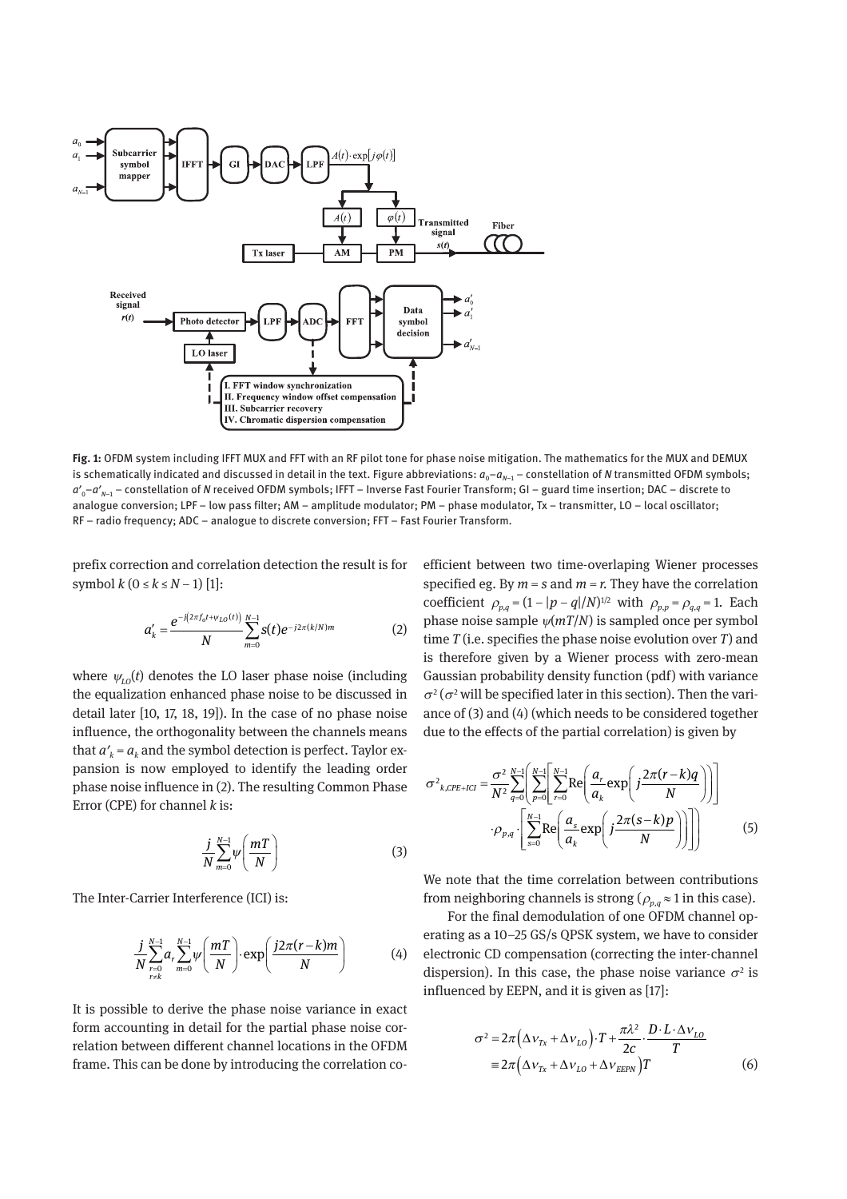

**Fig. 1:** OFDM system including IFFT MUX and FFT with an RF pilot tone for phase noise mitigation. The mathematics for the MUX and DEMUX is schematically indicated and discussed in detail in the text. Figure abbreviations:  $a_0$ − $a_{N-1}$  − constellation of *N* transmitted OFDM symbols; *a*′<sub>0</sub>−*a*′<sub>*N*−1</sub> – constellation of *N* received OFDM symbols; IFFT – Inverse Fast Fourier Transform; GI – guard time insertion; DAC – discrete to analogue conversion; LPF – low pass filter; AM – amplitude modulator; PM – phase modulator, Tx – transmitter, LO – local oscillator; RF – radio frequency; ADC – analogue to discrete conversion; FFT – Fast Fourier Transform.

prefix correction and correlation detection the result is for symbol  $k$  (0 ≤  $k$  ≤  $N$  − 1) [1]:

$$
a'_{k} = \frac{e^{-j(2\pi f_o t + \psi_{LO}(t))}}{N} \sum_{m=0}^{N-1} s(t) e^{-j2\pi (k/N)m}
$$
 (2)

where  $\psi_{L0}(t)$  denotes the LO laser phase noise (including the equalization enhanced phase noise to be discussed in detail later [10, 17, 18, 19]). In the case of no phase noise influence, the orthogonality between the channels means that  $a'_k = a_k$  and the symbol detection is perfect. Taylor expansion is now employed to identify the leading order phase noise influence in (2). The resulting Common Phase Error (CPE) for channel *k* is:

$$
\frac{j}{N} \sum_{m=0}^{N-1} \psi\left(\frac{mT}{N}\right) \tag{3}
$$

The Inter-Carrier Interference (ICI) is:

$$
\frac{j}{N} \sum_{\substack{r=0 \ r \neq k}}^{N-1} a_r \sum_{m=0}^{N-1} \psi\left(\frac{mT}{N}\right) \cdot \exp\left(\frac{j2\pi (r-k)m}{N}\right) \tag{4}
$$

It is possible to derive the phase noise variance in exact form accounting in detail for the partial phase noise correlation between different channel locations in the OFDM frame. This can be done by introducing the correlation coefficient between two time-overlaping Wiener processes specified eg. By  $m = s$  and  $m = r$ . They have the correlation coefficient  $\rho_{p,q} = (1 - |p - q|/N)^{1/2}$  with  $\rho_{p,p} = \rho_{q,q} = 1$ . Each phase noise sample *ψ*(*mT*/*N*) is sampled once per symbol time *T* (i.e. specifies the phase noise evolution over *T*) and is therefore given by a Wiener process with zero-mean Gaussian probability density function (pdf) with variance  $\sigma^2(\sigma^2)$  will be specified later in this section). Then the variance of (3) and (4) (which needs to be considered together due to the effects of the partial correlation) is given by

$$
\sigma_{k, CPE+ICI}^{2} = \frac{\sigma^{2}}{N^{2}} \sum_{q=0}^{N-1} \left( \sum_{p=0}^{N-1} \sum_{r=0}^{N-1} \text{Re} \left( \frac{a_{r}}{a_{k}} \exp \left( j \frac{2 \pi (r-k)q}{N} \right) \right) \right)
$$

$$
\cdot \rho_{p,q} \cdot \left[ \sum_{s=0}^{N-1} \text{Re} \left( \frac{a_{s}}{a_{k}} \exp \left( j \frac{2 \pi (s-k) p}{N} \right) \right) \right] \tag{5}
$$

We note that the time correlation between contributions from neighboring channels is strong ( $\rho_{p,q} \approx 1$  in this case).

For the final demodulation of one OFDM channel operating as a 10–25 GS/s QPSK system, we have to consider electronic CD compensation (correcting the inter-channel dispersion). In this case, the phase noise variance  $\sigma^2$  is influenced by EEPN, and it is given as [17]:

$$
\sigma^2 = 2\pi \left( \Delta v_{Tx} + \Delta v_{LO} \right) \cdot T + \frac{\pi \lambda^2}{2c} \cdot \frac{D \cdot L \cdot \Delta v_{LO}}{T}
$$
  
=  $2\pi \left( \Delta v_{Tx} + \Delta v_{LO} + \Delta v_{EEPN} \right) T$  (6)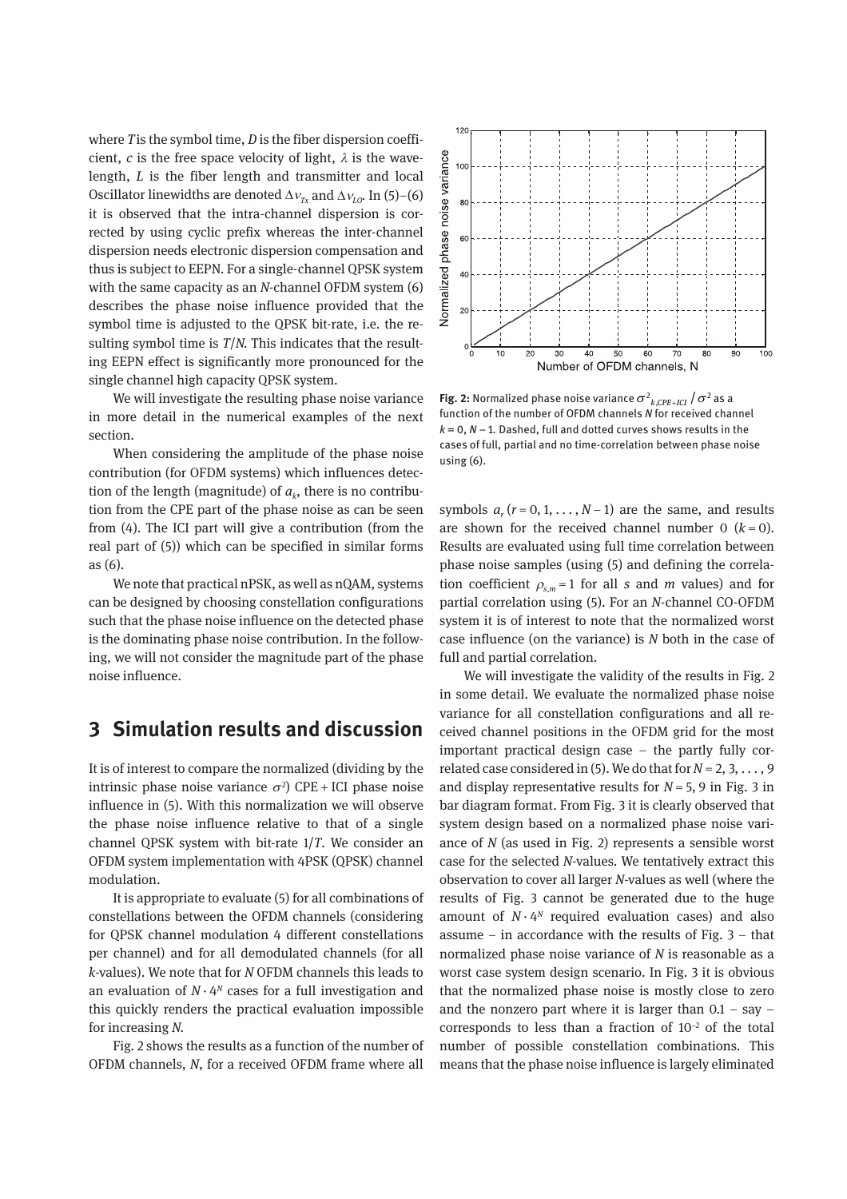where *T* is the symbol time, *D* is the fiber dispersion coefficient, *c* is the free space velocity of light,  $\lambda$  is the wavelength, *L* is the fiber length and transmitter and local Oscillator linewidths are denoted  $\Delta v_{\tau}$  and  $\Delta v_{\tau}$ . In (5)–(6) it is observed that the intra-channel dispersion is corrected by using cyclic prefix whereas the inter-channel dispersion needs electronic dispersion compensation and thus is subject to EEPN. For a single-channel QPSK system with the same capacity as an *N-*channel OFDM system (6) describes the phase noise influence provided that the symbol time is adjusted to the QPSK bit-rate, i.e. the resulting symbol time is *T*/*N*. This indicates that the resulting EEPN effect is significantly more pronounced for the single channel high capacity QPSK system.

We will investigate the resulting phase noise variance in more detail in the numerical examples of the next section.

When considering the amplitude of the phase noise contribution (for OFDM systems) which influences detection of the length (magnitude) of  $a_k$ , there is no contribution from the CPE part of the phase noise as can be seen from (4). The ICI part will give a contribution (from the real part of (5)) which can be specified in similar forms as (6).

We note that practical nPSK, as well as nQAM, systems can be designed by choosing constellation configurations such that the phase noise influence on the detected phase is the dominating phase noise contribution. In the following, we will not consider the magnitude part of the phase noise influence.

## **3 Simulation results and discussion**

It is of interest to compare the normalized (dividing by the intrinsic phase noise variance  $\sigma^2$ ) CPE + ICI phase noise influence in (5). With this normalization we will observe the phase noise influence relative to that of a single channel QPSK system with bit-rate 1/*T*. We consider an OFDM system implementation with 4PSK (QPSK) channel modulation.

It is appropriate to evaluate (5) for all combinations of constellations between the OFDM channels (considering for QPSK channel modulation 4 different constellations per channel) and for all demodulated channels (for all *k*-values). We note that for *N* OFDM channels this leads to an evaluation of  $N \cdot 4^N$  cases for a full investigation and this quickly renders the practical evaluation impossible for increasing *N.*

Fig. 2 shows the results as a function of the number of OFDM channels, *N*, for a received OFDM frame where all



**Fig. 2:** Normalized phase noise variance  $\sigma^2_{\phantom{2}k, CPE+ICI}$  /  $\sigma^2$  as a function of the number of OFDM channels *N* for received channel *k* = 0, *N* − 1*.* Dashed, full and dotted curves shows results in the cases of full, partial and no time-correlation between phase noise using (6).

symbols  $a_r$  ( $r = 0, 1, \ldots, N-1$ ) are the same, and results are shown for the received channel number 0  $(k=0)$ . Results are evaluated using full time correlation between phase noise samples (using (5) and defining the correlation coefficient  $\rho_{s,m} = 1$  for all *s* and *m* values) and for partial correlation using (5). For an *N*-channel CO-OFDM system it is of interest to note that the normalized worst case influence (on the variance) is *N* both in the case of full and partial correlation.

We will investigate the validity of the results in Fig. 2 in some detail. We evaluate the normalized phase noise variance for all constellation configurations and all received channel positions in the OFDM grid for the most important practical design case – the partly fully correlated case considered in (5). We do that for *N* = 2, 3, . *.* . , 9 and display representative results for  $N = 5$ , 9 in Fig. 3 in bar diagram format. From Fig. 3 it is clearly observed that system design based on a normalized phase noise variance of *N* (as used in Fig. 2) represents a sensible worst case for the selected *N*-values. We tentatively extract this observation to cover all larger *N*-values as well (where the results of Fig. 3 cannot be generated due to the huge amount of  $N \cdot 4^N$  required evaluation cases) and also assume – in accordance with the results of Fig. 3 – that normalized phase noise variance of *N* is reasonable as a worst case system design scenario. In Fig. 3 it is obvious that the normalized phase noise is mostly close to zero and the nonzero part where it is larger than  $0.1 -$  say – corresponds to less than a fraction of 10−2 of the total number of possible constellation combinations. This means that the phase noise influence is largely eliminated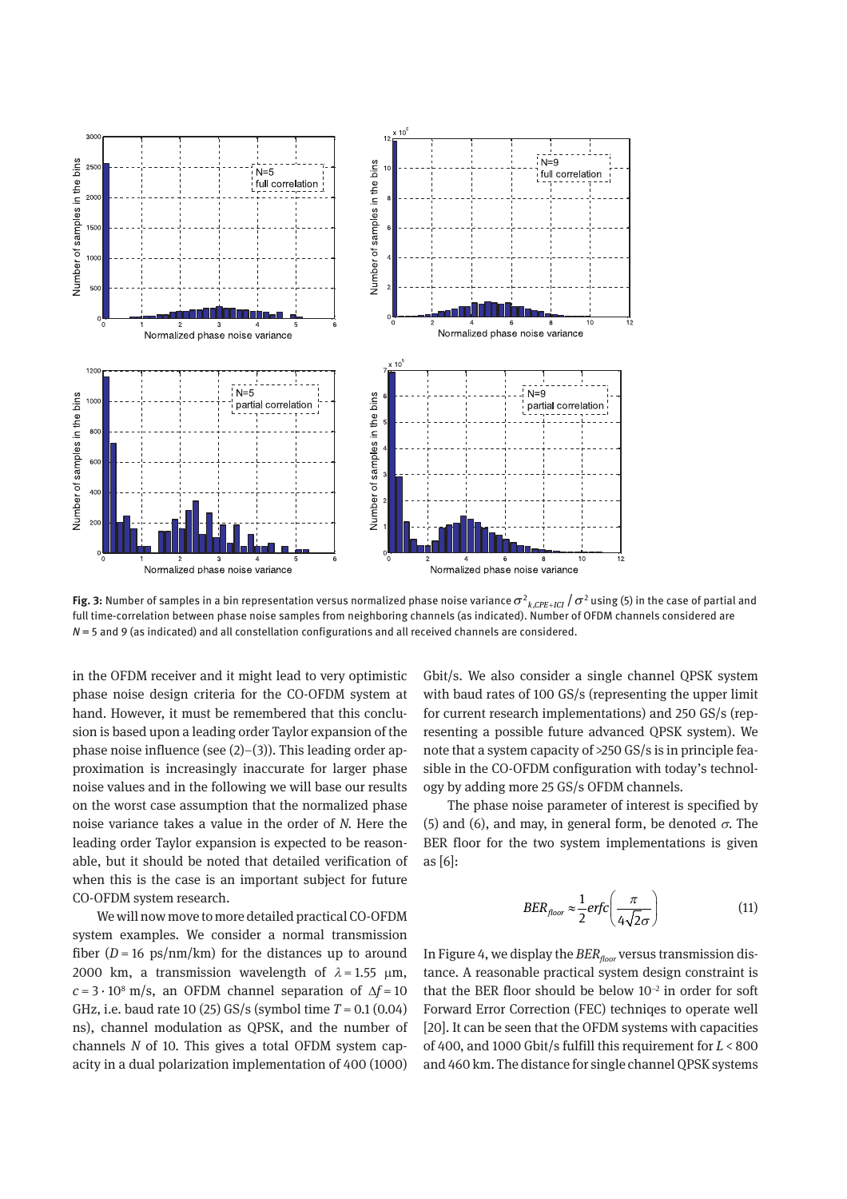

**Fig. 3:** Number of samples in a bin representation versus normalized phase noise variance  $\sigma^2_{k,CPE+ICI}$  /  $\sigma^2$  using (5) in the case of partial and full time-correlation between phase noise samples from neighboring channels (as indicated). Number of OFDM channels considered are *N* = 5 and 9 (as indicated) and all constellation configurations and all received channels are considered.

in the OFDM receiver and it might lead to very optimistic phase noise design criteria for the CO-OFDM system at hand. However, it must be remembered that this conclusion is based upon a leading order Taylor expansion of the phase noise influence (see  $(2)-(3)$ ). This leading order approximation is increasingly inaccurate for larger phase noise values and in the following we will base our results on the worst case assumption that the normalized phase noise variance takes a value in the order of *N.* Here the leading order Taylor expansion is expected to be reasonable, but it should be noted that detailed verification of when this is the case is an important subject for future CO-OFDM system research.

We will now move to more detailed practical CO-OFDM system examples. We consider a normal transmission fiber  $(D = 16 \text{ ps/mm/km})$  for the distances up to around 2000 km, a transmission wavelength of  $\lambda = 1.55 \mu m$ ,  $c = 3 \cdot 10^8$  m/s, an OFDM channel separation of  $\Delta f = 10$ GHz, i.e. baud rate 10 (25) GS/s (symbol time *T* = 0.1 (0.04) ns), channel modulation as QPSK, and the number of channels *N* of 10. This gives a total OFDM system capacity in a dual polarization implementation of 400 (1000)

Gbit/s. We also consider a single channel QPSK system with baud rates of 100 GS/s (representing the upper limit for current research implementations) and 250 GS/s (representing a possible future advanced QPSK system). We note that a system capacity of >250 GS/s is in principle feasible in the CO-OFDM configuration with today's technology by adding more 25 GS/s OFDM channels.

The phase noise parameter of interest is specified by (5) and (6), and may, in general form, be denoted  $\sigma$ . The BER floor for the two system implementations is given as [6]:

$$
BER_{floor} \approx \frac{1}{2} erfc\left(\frac{\pi}{4\sqrt{2}\sigma}\right) \tag{11}
$$

In Figure 4, we display the *BERfloor* versus transmission distance. A reasonable practical system design constraint is that the BER floor should be below 10−2 in order for soft Forward Error Correction (FEC) techniqes to operate well [20]. It can be seen that the OFDM systems with capacities of 400, and 1000 Gbit/s fulfill this requirement for *L* < 800 and 460 km. The distance for single channel QPSK systems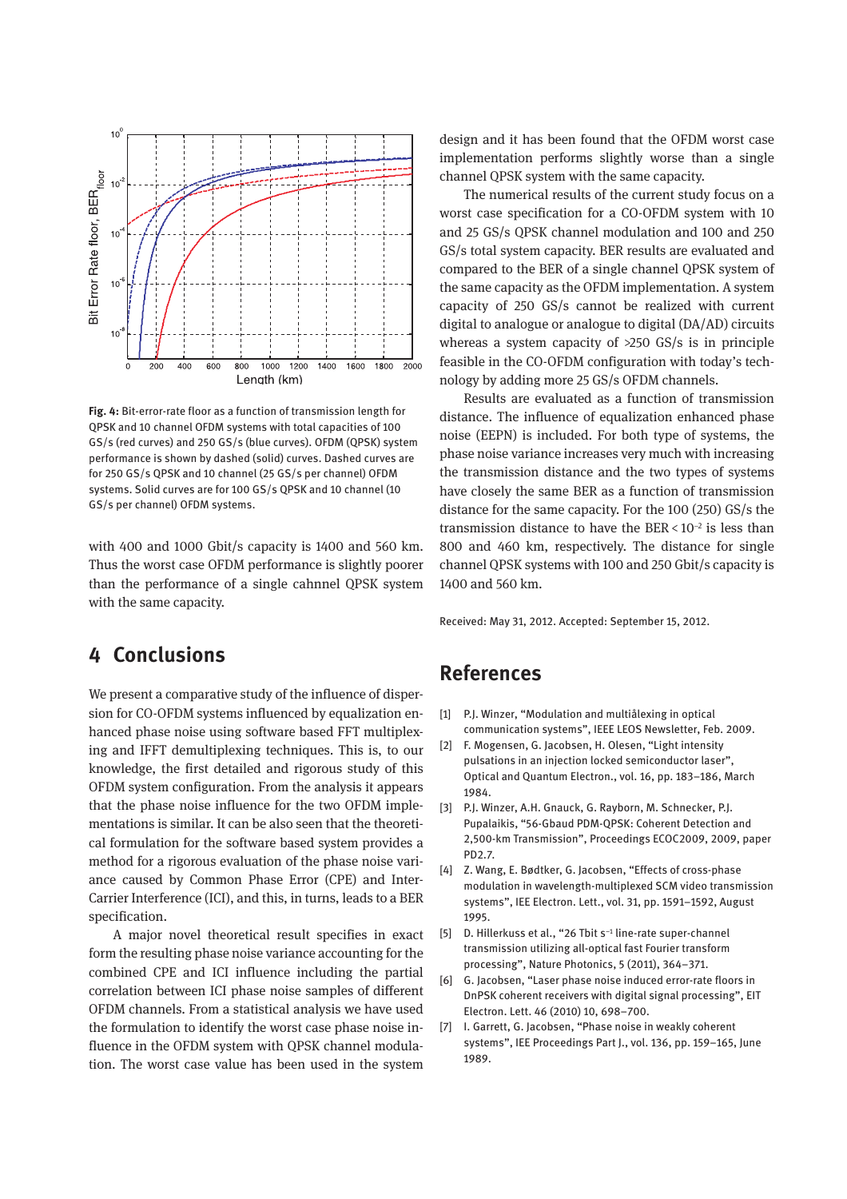

**Fig. 4:** Bit-error-rate floor as a function of transmission length for QPSK and 10 channel OFDM systems with total capacities of 100 GS/s (red curves) and 250 GS/s (blue curves). OFDM (QPSK) system performance is shown by dashed (solid) curves. Dashed curves are for 250 GS/s QPSK and 10 channel (25 GS/s per channel) OFDM systems. Solid curves are for 100 GS/s QPSK and 10 channel (10 GS/s per channel) OFDM systems.

with 400 and 1000 Gbit/s capacity is 1400 and 560 km. Thus the worst case OFDM performance is slightly poorer than the performance of a single cahnnel QPSK system with the same capacity.

# **4 Conclusions**

We present a comparative study of the influence of dispersion for CO-OFDM systems influenced by equalization enhanced phase noise using software based FFT multiplexing and IFFT demultiplexing techniques. This is, to our knowledge, the first detailed and rigorous study of this OFDM system configuration. From the analysis it appears that the phase noise influence for the two OFDM implementations is similar. It can be also seen that the theoretical formulation for the software based system provides a method for a rigorous evaluation of the phase noise variance caused by Common Phase Error (CPE) and Inter-Carrier Interference (ICI), and this, in turns, leads to a BER specification.

A major novel theoretical result specifies in exact form the resulting phase noise variance accounting for the combined CPE and ICI influence including the partial correlation between ICI phase noise samples of different OFDM channels. From a statistical analysis we have used the formulation to identify the worst case phase noise influence in the OFDM system with QPSK channel modulation. The worst case value has been used in the system design and it has been found that the OFDM worst case implementation performs slightly worse than a single channel QPSK system with the same capacity.

The numerical results of the current study focus on a worst case specification for a CO-OFDM system with 10 and 25 GS/s QPSK channel modulation and 100 and 250 GS/s total system capacity. BER results are evaluated and compared to the BER of a single channel QPSK system of the same capacity as the OFDM implementation. A system capacity of 250 GS/s cannot be realized with current digital to analogue or analogue to digital (DA/AD) circuits whereas a system capacity of >250 GS/s is in principle feasible in the CO-OFDM configuration with today's technology by adding more 25 GS/s OFDM channels.

Results are evaluated as a function of transmission distance. The influence of equalization enhanced phase noise (EEPN) is included. For both type of systems, the phase noise variance increases very much with increasing the transmission distance and the two types of systems have closely the same BER as a function of transmission distance for the same capacity. For the 100 (250) GS/s the transmission distance to have the BER < 10−2 is less than 800 and 460 km, respectively. The distance for single channel QPSK systems with 100 and 250 Gbit/s capacity is 1400 and 560 km.

Received: May 31, 2012. Accepted: September 15, 2012.

## **References**

- [1] P.J. Winzer, "Modulation and multiålexing in optical communication systems", IEEE LEOS Newsletter, Feb. 2009.
- [2] F. Mogensen, G. Jacobsen, H. Olesen, "Light intensity pulsations in an injection locked semiconductor laser", Optical and Quantum Electron., vol. 16, pp. 183–186, March 1984.
- [3] P.J. Winzer, A.H. Gnauck, G. Rayborn, M. Schnecker, P.J. Pupalaikis, "56-Gbaud PDM-QPSK: Coherent Detection and 2,500-km Transmission", Proceedings ECOC2009, 2009, paper PD2.7.
- [4] Z. Wang, E. Bødtker, G. Jacobsen, "Effects of cross-phase modulation in wavelength-multiplexed SCM video transmission systems", IEE Electron. Lett., vol. 31, pp. 1591–1592, August 1995.
- [5] D. Hillerkuss et al., "26 Tbit s−1 line-rate super-channel transmission utilizing all-optical fast Fourier transform processing", Nature Photonics, 5 (2011), 364–371.
- [6] G. Jacobsen, "Laser phase noise induced error-rate floors in DnPSK coherent receivers with digital signal processing", EIT Electron. Lett. 46 (2010) 10, 698–700.
- [7] I. Garrett, G. Jacobsen, "Phase noise in weakly coherent systems", IEE Proceedings Part J., vol. 136, pp. 159–165, June 1989.